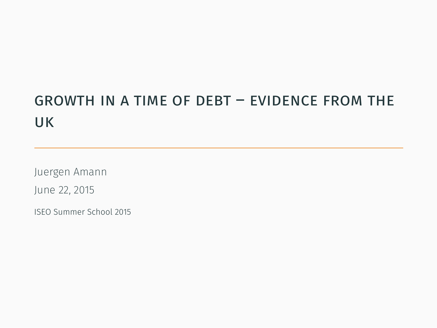# growth in a time of debt – evidence from the uk

Juergen Amann

June 22, 2015

ISEO Summer School 2015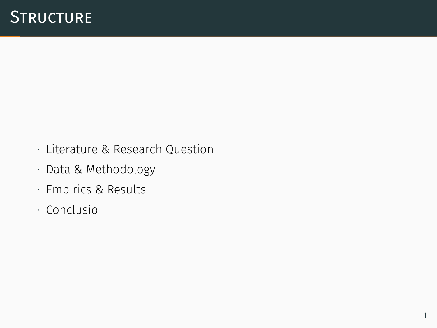- ∙ Literature & Research Question
- ∙ Data & Methodology
- ∙ Empirics & Results
- ∙ Conclusio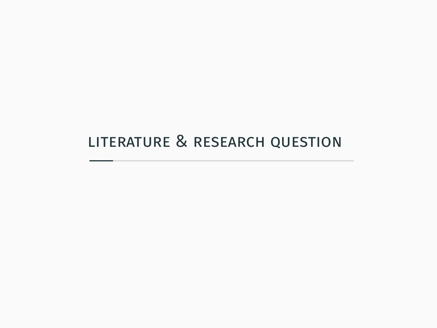### literature & research question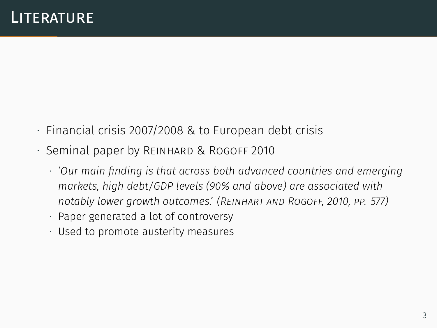- ∙ Financial crisis 2007/2008 & to European debt crisis
- ∙ Seminal paper by Reinhard & Rogoff 2010
	- ∙ *'Our main finding is that across both advanced countries and emerging markets, high debt/GDP levels (90% and above) are associated with notably lower growth outcomes.' (Reinhart and Rogoff, 2010, pp. 577)*
	- ∙ Paper generated a lot of controversy
	- ∙ Used to promote austerity measures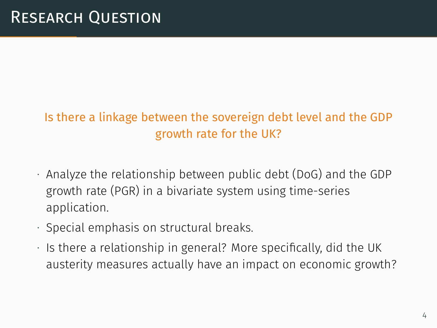#### Is there a linkage between the sovereign debt level and the GDP growth rate for the UK?

- ∙ Analyze the relationship between public debt (DoG) and the GDP growth rate (PGR) in a bivariate system using time-series application.
- ∙ Special emphasis on structural breaks.
- ∙ Is there a relationship in general? More specifically, did the UK austerity measures actually have an impact on economic growth?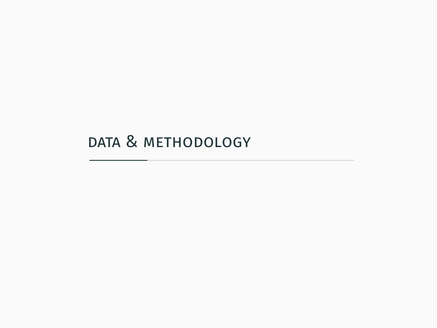### data & methodology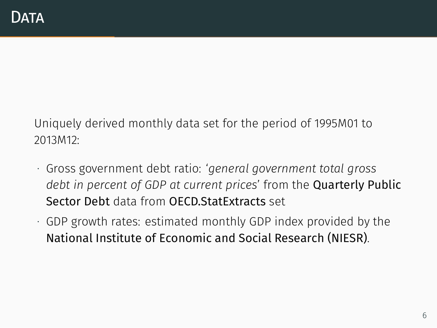Uniquely derived monthly data set for the period of 1995M01 to 2013M12:

- ∙ Gross government debt ratio: '*general government total gross debt in percent of GDP at current prices*' from the Quarterly Public Sector Debt data from OECD.StatExtracts set
- ∙ GDP growth rates: estimated monthly GDP index provided by the National Institute of Economic and Social Research (NIESR).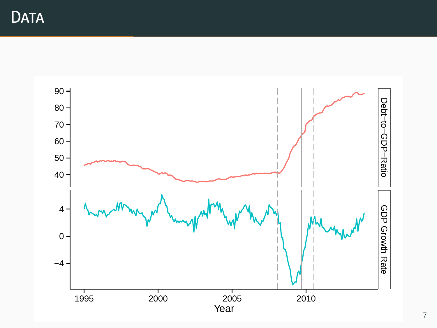**DATA** 

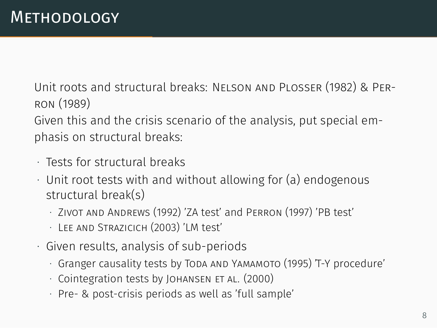Unit roots and structural breaks: Nelson and Plosser (1982) & Perron (1989)

Given this and the crisis scenario of the analysis, put special emphasis on structural breaks:

- ∙ Tests for structural breaks
- ∙ Unit root tests with and without allowing for (a) endogenous structural break(s)
	- ∙ Zivot and Andrews (1992) 'ZA test' and Perron (1997) 'PB test'
	- ∙ Lee and Strazicich (2003) 'LM test'
- ∙ Given results, analysis of sub-periods
	- ∙ Granger causality tests by Toda and Yamamoto (1995) 'T-Y procedure'
	- ∙ Cointegration tests by Johansen et al. (2000)
	- ∙ Pre- & post-crisis periods as well as 'full sample'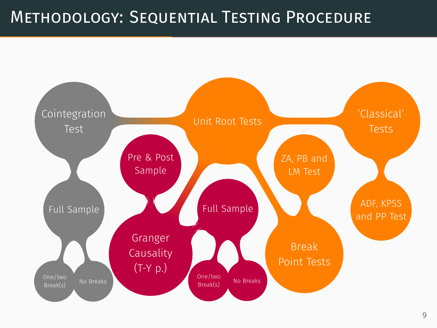## Methodology: Sequential Testing Procedure

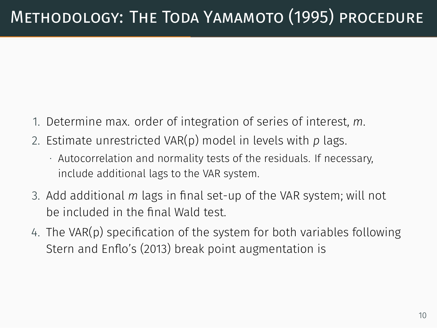# Methodology: The Toda Yamamoto (1995) procedure

- 1. Determine max. order of integration of series of interest, *m*.
- 2. Estimate unrestricted VAR(p) model in levels with *p* lags.
	- ∙ Autocorrelation and normality tests of the residuals. If necessary, include additional lags to the VAR system.
- 3. Add additional *m* lags in final set-up of the VAR system; will not be included in the final Wald test.
- 4. The VAR(p) specification of the system for both variables following Stern and Enflo's (2013) break point augmentation is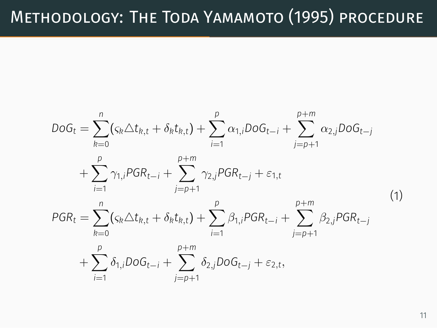# Methodology: The Toda Yamamoto (1995) procedure

$$
DoG_{t} = \sum_{k=0}^{n} (c_{k} \Delta t_{k,t} + \delta_{k} t_{k,t}) + \sum_{i=1}^{p} \alpha_{1,i} DoG_{t-i} + \sum_{j=p+1}^{p+m} \alpha_{2,j} DoG_{t-j} + \sum_{i=1}^{p} \gamma_{1,i} PGR_{t-i} + \sum_{j=p+1}^{p+m} \gamma_{2,j} PGR_{t-j} + \varepsilon_{1,t} PGR_{t} = \sum_{k=0}^{n} (c_{k} \Delta t_{k,t} + \delta_{k} t_{k,t}) + \sum_{i=1}^{p} \beta_{1,i} PGR_{t-i} + \sum_{j=p+1}^{p+m} \beta_{2,j} PGR_{t-j} + \sum_{i=1}^{p} \delta_{1,i} DOG_{t-i} + \sum_{j=p+1}^{p+m} \delta_{2,j} DOG_{t-j} + \varepsilon_{2,t},
$$
\n(1)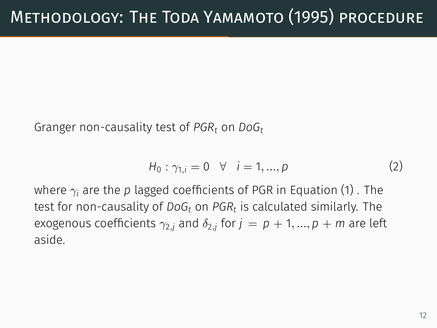Granger non-causality test of *PGR<sup>t</sup>* on *DoG<sup>t</sup>*

$$
H_0: \gamma_{1,i} = 0 \quad \forall \quad i = 1, ..., p \tag{2}
$$

where *γ<sup>i</sup>* are the *p* lagged coefficients of PGR in Equation (1) . The test for non-causality of *DoG<sup>t</sup>* on *PGR<sup>t</sup>* is calculated similarly. The exogenous coefficients *γ*<sup>2</sup>*,<sup>j</sup>* and *δ*<sup>2</sup>*,<sup>j</sup>* for *j* = *p* + 1*, ..., p* + *m* are left aside.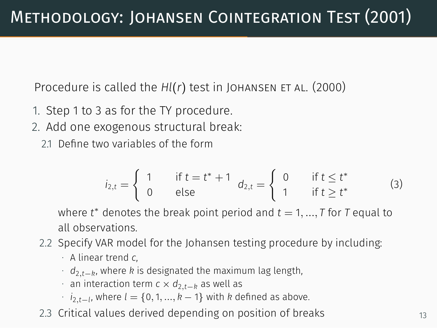Procedure is called the *Hl(r)* test in JOHANSEN ET AL. (2000)

- 1. Step 1 to 3 as for the TY procedure.
- 2. Add one exogenous structural break:
	- 21. Define two variables of the form

$$
i_{2,t} = \begin{cases} 1 & \text{if } t = t^* + 1 \\ 0 & \text{else} \end{cases} d_{2,t} = \begin{cases} 0 & \text{if } t \leq t^* \\ 1 & \text{if } t \geq t^* \end{cases}
$$
 (3)

where *t <sup>∗</sup>* denotes the break point period and *t* = 1*, ..., T* for *T* equal to all observations.

- 2.2 Specify VAR model for the Johansen testing procedure by including:
	- ∙ A linear trend *c*,
	- ∙ *d*2*,t−<sup>k</sup>* , where *k* is designated the maximum lag length,
	- ∙ an interaction term *c × d*2*,t−<sup>k</sup>* as well as
	- ∙ *i*2*,t−<sup>l</sup>* , where *l* = *{*0*,* 1*, ..., k −* 1*}* with *k* defined as above.
- 2.3 Critical values derived depending on position of breaks  $13$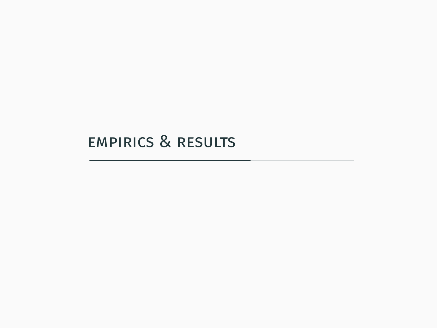### empirics & results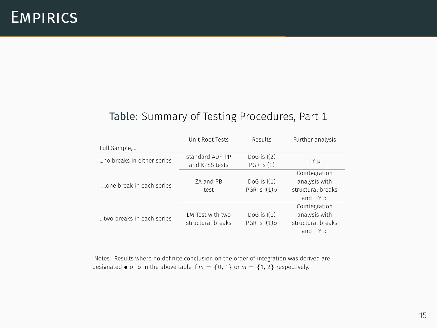#### Table: Summary of Testing Procedures, Part 1

|                            | Unit Root Tests   | Results         | Further analysis  |  |
|----------------------------|-------------------|-----------------|-------------------|--|
| Full Sample,               |                   |                 |                   |  |
| no breaks in either series | standard ADF, PP  | DoG is $I(2)$   | T-Y p.            |  |
|                            | and KPSS tests    | $PGR$ is $(1)$  |                   |  |
|                            |                   |                 | Cointegration     |  |
| one break in each series   | ZA and PB         | DoG is $I(1)$   | analysis with     |  |
|                            | test              | PGR is $I(1)$ o | structural breaks |  |
|                            |                   |                 | and T-Y p.        |  |
|                            |                   |                 | Cointegration     |  |
| two breaks in each series  | LM Test with two  | DoG is $I(1)$   | analysis with     |  |
|                            | structural breaks | PGR is $I(1)$ o | structural breaks |  |
|                            |                   |                 | and T-Y p.        |  |

Notes: Results where no definite conclusion on the order of integration was derived are designated  $\bullet$  or  $\circ$  in the above table if *m* = {0, 1} or *m* = {1, 2} respectively.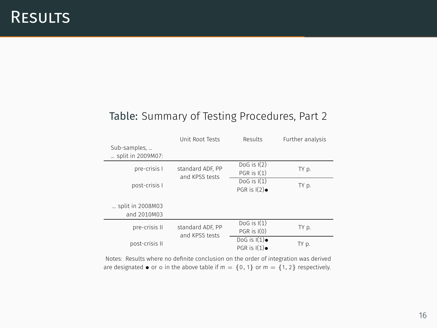#### Table: Summary of Testing Procedures, Part 2

| Sub-samples,                    | Unit Root Tests                    | Results                            | Further analysis |
|---------------------------------|------------------------------------|------------------------------------|------------------|
| split in 2009M07:               |                                    |                                    |                  |
| pre-crisis I                    | standard ADF. PP<br>and KPSS tests | DoG is $I(2)$<br>$PGR$ is $I(1)$   | TY p.            |
| post-crisis I                   |                                    | $DoG$ is $I(1)$<br>PGR is $I(2)$   | TY p.            |
| split in 2008M03<br>and 2010M03 |                                    |                                    |                  |
| pre-crisis II                   | standard ADF. PP<br>and KPSS tests | $DoG$ is $I(1)$<br>$PGR$ is $I(0)$ | TY p.            |
| post-crisis II                  |                                    | DoG is $I(1)$<br>PGR is $I(1)$     | TY p.            |

Notes: Results where no definite conclusion on the order of integration was derived are designated  $\bullet$  or  $\circ$  in the above table if *m* = {0, 1} or *m* = {1, 2} respectively.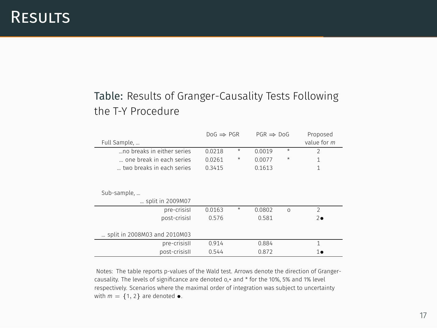#### Table: Results of Granger-Causality Tests Following the T-Y Procedure

|                              | $DoG \Rightarrow PGR$ |         | $PGR \Rightarrow DoG$ |          | Proposed      |
|------------------------------|-----------------------|---------|-----------------------|----------|---------------|
| Full Sample,                 |                       |         |                       |          | value for m   |
| no breaks in either series   | 0.0218                | $\star$ | 0.0019                | $\star$  | $\mathcal{P}$ |
| one break in each series     | 0.0261                | ★       | 0.0077                | ×        | 1             |
| two breaks in each series    | 0.3415                |         | 0.1613                |          | 1             |
|                              |                       |         |                       |          |               |
|                              |                       |         |                       |          |               |
| Sub-sample,                  |                       |         |                       |          |               |
| split in 2009M07             |                       |         |                       |          |               |
| pre-crisisl                  | 0.0163                | $\star$ | 0.0802                | $\Omega$ | $\mathcal{P}$ |
| post-crisisl                 | 0.576                 |         | 0.581                 |          | $2\bullet$    |
|                              |                       |         |                       |          |               |
| split in 2008M03 and 2010M03 |                       |         |                       |          |               |
| pre-crisisII                 | 0.914                 |         | 0.884                 |          | 1             |
| post-crisisII                | 0.544                 |         | 0.872                 |          | 1.            |

Notes: The table reports p-values of the Wald test. Arrows denote the direction of Grangercausality. The levels of significance are denoted o,+ and \* for the 10%, 5% and 1% level respectively. Scenarios where the maximal order of integration was subject to uncertainty with  $m = \{1, 2\}$  are denoted  $\bullet$ .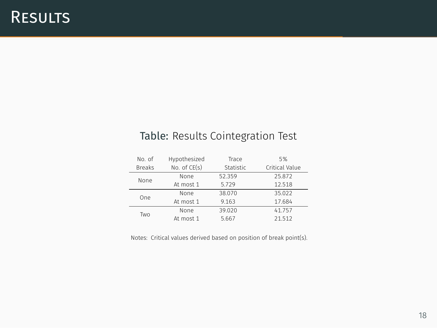#### Table: Results Cointegration Test

|  | No of         | Hypothesized | Trace     | 5%             |
|--|---------------|--------------|-----------|----------------|
|  | <b>Breaks</b> | No. of CE(s) | Statistic | Critical Value |
|  | None          | None         | 52359     | 25.872         |
|  |               | At most 1    | 5729      | 12.518         |
|  | One           | None         | 38070     | 35.022         |
|  |               | At most 1    | 9163      | 17.684         |
|  | Two           | None         | 39020     | 41757          |
|  |               | At most 1    | 5.667     | 21.512         |

Notes: Critical values derived based on position of break point(s).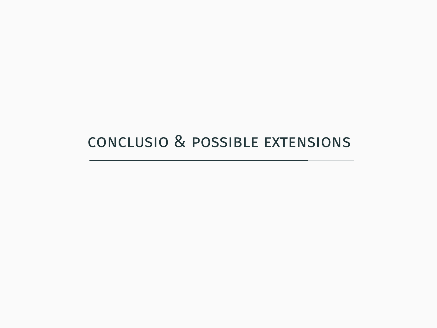### conclusio & possible extensions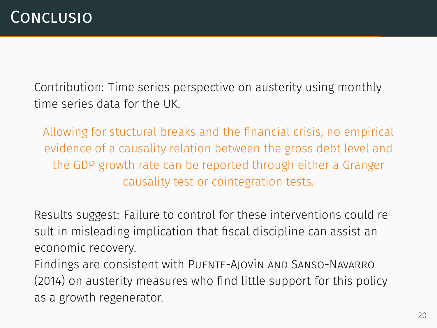Contribution: Time series perspective on austerity using monthly time series data for the UK.

Allowing for stuctural breaks and the financial crisis, no empirical evidence of a causality relation between the gross debt level and the GDP growth rate can be reported through either a Granger causality test or cointegration tests.

Results suggest: Failure to control for these interventions could result in misleading implication that fiscal discipline can assist an economic recovery.

Findings are consistent with Puente-Ajovín and Sanso-Navarro (2014) on austerity measures who find little support for this policy as a growth regenerator.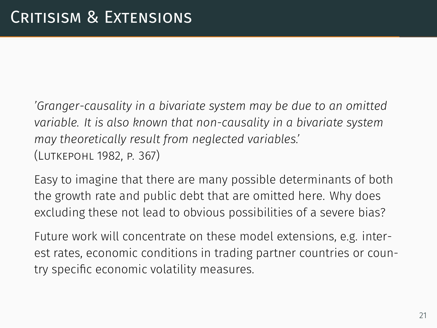*'Granger-causality in a bivariate system may be due to an omitted variable. It is also known that non-causality in a bivariate system may theoretically result from neglected variables.'* (Lutkepohl 1982, p. 367)

Easy to imagine that there are many possible determinants of both the growth rate and public debt that are omitted here. Why does excluding these not lead to obvious possibilities of a severe bias?

Future work will concentrate on these model extensions, e.g. interest rates, economic conditions in trading partner countries or country specific economic volatility measures.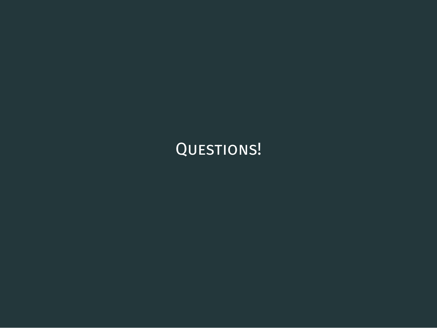# QUESTIONS!